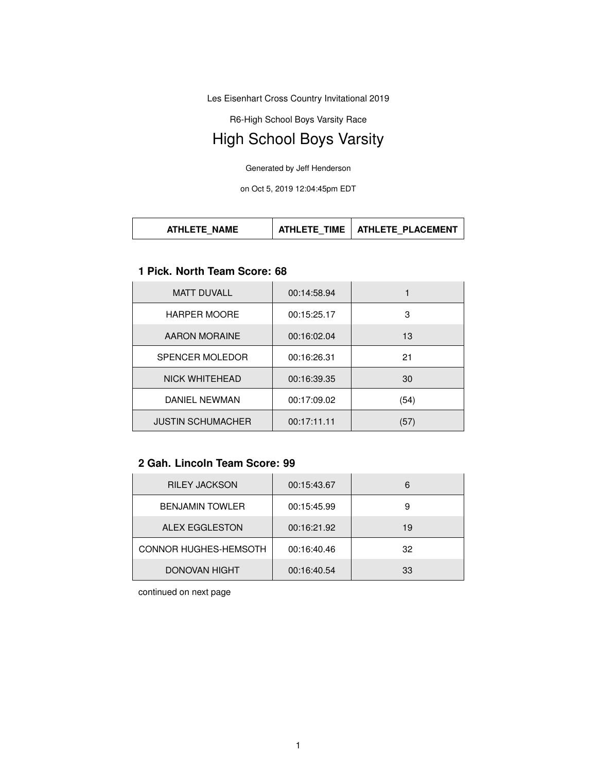Les Eisenhart Cross Country Invitational 2019

R6-High School Boys Varsity Race

# High School Boys Varsity

Generated by Jeff Henderson

on Oct 5, 2019 12:04:45pm EDT

|--|

#### **1 Pick. North Team Score: 68**

| <b>MATT DUVALL</b>       | 00:14:58.94 |      |
|--------------------------|-------------|------|
| <b>HARPER MOORE</b>      | 00:15:25.17 | 3    |
| AARON MORAINE            | 00:16:02.04 | 13   |
| SPENCER MOLEDOR          | 00:16:26.31 | 21   |
| <b>NICK WHITEHEAD</b>    | 00:16:39.35 | 30   |
| DANIEL NEWMAN            | 00:17:09.02 | (54) |
| <b>JUSTIN SCHUMACHER</b> | 00:17:11.11 | (57) |

# **2 Gah. Lincoln Team Score: 99**

| <b>RILEY JACKSON</b>   | 00:15:43.67 | 6  |
|------------------------|-------------|----|
| <b>BENJAMIN TOWLER</b> | 00:15:45.99 | 9  |
| ALEX EGGLESTON         | 00:16:21.92 | 19 |
| CONNOR HUGHES-HEMSOTH  | 00:16:40.46 | 32 |
| <b>DONOVAN HIGHT</b>   | 00:16:40.54 | 33 |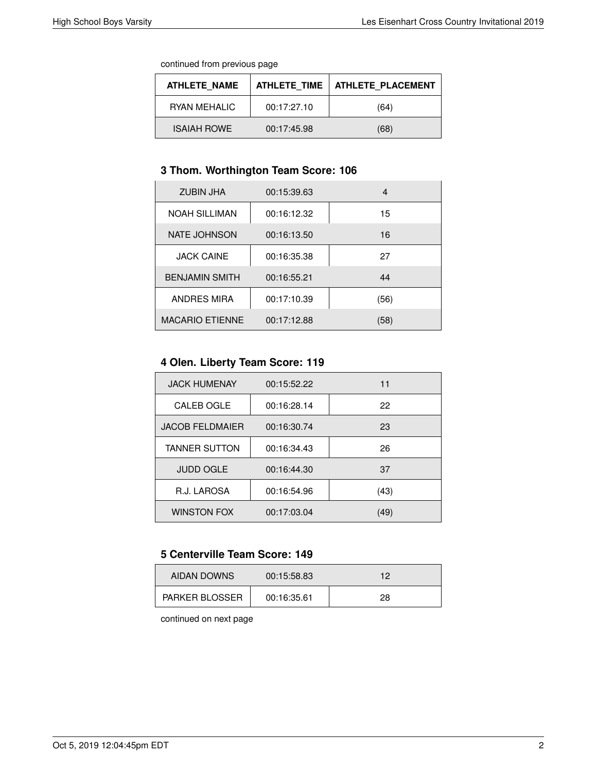continued from previous page

| <b>ATHLETE NAME</b> | <b>ATHLETE TIME</b> | <b>ATHLETE PLACEMENT</b> |
|---------------------|---------------------|--------------------------|
| RYAN MEHALIC        | 00:17:27.10         | (64)                     |
| <b>ISAIAH ROWE</b>  | 00:17:45.98         | (68)                     |

# **3 Thom. Worthington Team Score: 106**

| ZUBIN JHA              | 00:15:39.63 | 4    |
|------------------------|-------------|------|
| <b>NOAH SILLIMAN</b>   | 00:16:12.32 | 15   |
| NATE JOHNSON           | 00:16:13.50 | 16   |
| <b>JACK CAINE</b>      | 00:16:35.38 | 27   |
| <b>BENJAMIN SMITH</b>  | 00:16:55.21 | 44   |
| ANDRES MIRA            | 00:17:10.39 | (56) |
| <b>MACARIO ETIENNE</b> | 00:17:12.88 | (58) |

# **4 Olen. Liberty Team Score: 119**

| <b>JACK HUMENAY</b>    | 00:15:52.22 | 11   |
|------------------------|-------------|------|
| <b>CALEB OGLE</b>      | 00:16:28.14 | 22   |
| <b>JACOB FELDMAIER</b> | 00:16:30.74 | 23   |
| <b>TANNER SUTTON</b>   | 00:16:34.43 | 26   |
| <b>JUDD OGLE</b>       | 00:16:44.30 | 37   |
| R.J. LAROSA            | 00:16:54.96 | (43) |
| <b>WINSTON FOX</b>     | 00:17:03.04 | (49) |

### **5 Centerville Team Score: 149**

| AIDAN DOWNS    | 00:15:58.83 | 19 |
|----------------|-------------|----|
| PARKER BLOSSER | 00:16:35.61 | 28 |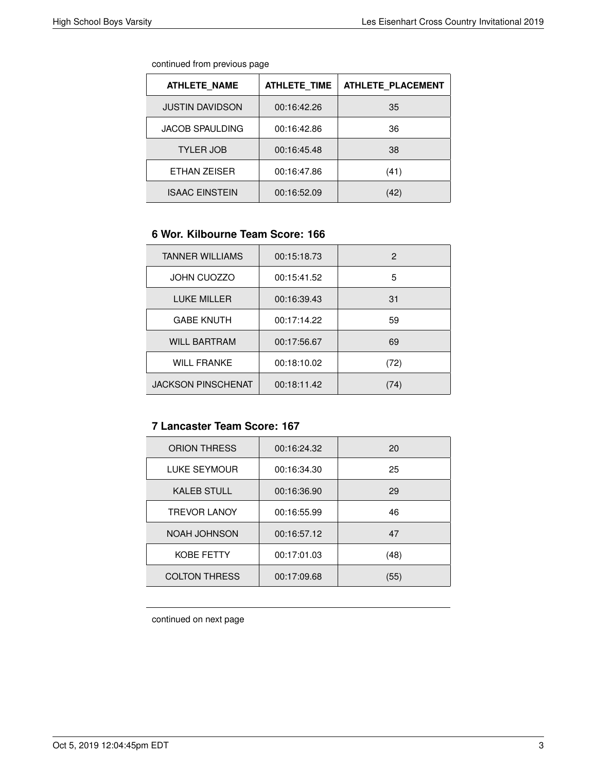| continued from previous page |  |  |
|------------------------------|--|--|
|                              |  |  |

| <b>ATHLETE NAME</b>    | <b>ATHLETE TIME</b> | <b>ATHLETE PLACEMENT</b> |
|------------------------|---------------------|--------------------------|
| <b>JUSTIN DAVIDSON</b> | 00:16:42.26         | 35                       |
| <b>JACOB SPAULDING</b> | 00:16:42.86         | 36                       |
| <b>TYLER JOB</b>       | 00:16:45.48         | 38                       |
| ETHAN ZEISER           | 00:16:47.86         | (41)                     |
| <b>ISAAC EINSTEIN</b>  | 00:16:52.09         | $ 42\rangle$             |

# **6 Wor. Kilbourne Team Score: 166**

| <b>TANNER WILLIAMS</b>    | 00:15:18.73 | 2    |
|---------------------------|-------------|------|
| <b>JOHN CUOZZO</b>        | 00:15:41.52 | 5    |
| LUKE MILLER               | 00:16:39.43 | 31   |
| <b>GABE KNUTH</b>         | 00:17:14.22 | 59   |
| <b>WILL BARTRAM</b>       | 00:17:56.67 | 69   |
| WILL FRANKE               | 00:18:10.02 | (72) |
| <b>JACKSON PINSCHENAT</b> | 00:18:11.42 | (74) |

## **7 Lancaster Team Score: 167**

| <b>ORION THRESS</b>  | 00:16:24.32 | 20   |
|----------------------|-------------|------|
| <b>LUKE SEYMOUR</b>  | 00:16:34.30 | 25   |
| <b>KALEB STULL</b>   | 00:16:36.90 | 29   |
| <b>TREVOR LANOY</b>  | 00:16:55.99 | 46   |
| NOAH JOHNSON         | 00:16:57.12 | 47   |
| <b>KOBE FETTY</b>    | 00:17:01.03 | (48) |
| <b>COLTON THRESS</b> | 00:17:09.68 | (55) |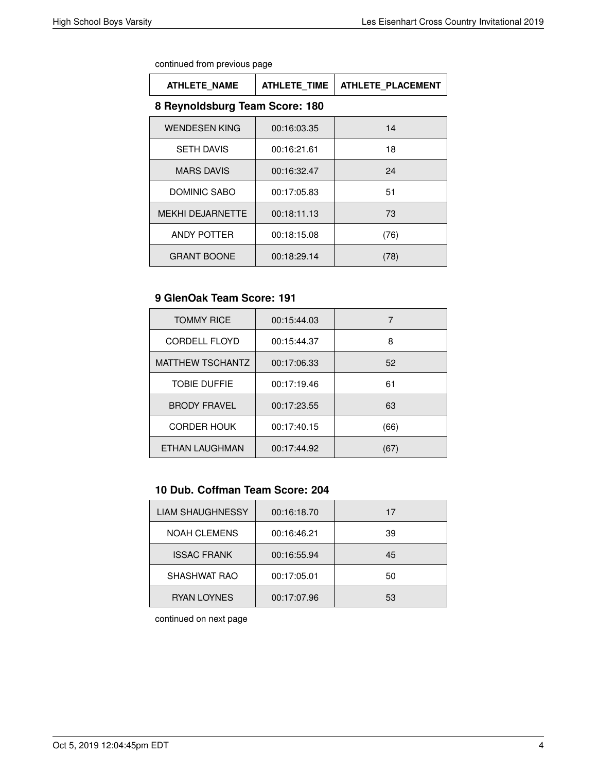| continued from previous page |  |  |
|------------------------------|--|--|
|------------------------------|--|--|

| <b>ATHLETE NAME</b>            | <b>ATHLETE TIME</b> | <b>ATHLETE PLACEMENT</b> |  |
|--------------------------------|---------------------|--------------------------|--|
| 8 Reynoldsburg Team Score: 180 |                     |                          |  |
| <b>WENDESEN KING</b>           | 00:16:03.35         | 14                       |  |
| <b>SETH DAVIS</b>              | 00:16:21.61         | 18                       |  |
| <b>MARS DAVIS</b>              | 00:16:32.47         | 24                       |  |
| DOMINIC SABO                   | 00:17:05.83         | 51                       |  |
| <b>MEKHI DEJARNETTE</b>        | 00:18:11.13         | 73                       |  |
| ANDY POTTER                    | 00:18:15.08         | (76)                     |  |
| <b>GRANT BOONE</b>             | 00:18:29.14         | (78)                     |  |

## **9 GlenOak Team Score: 191**

| <b>TOMMY RICE</b>       | 00:15:44.03 |      |
|-------------------------|-------------|------|
| <b>CORDELL FLOYD</b>    | 00:15:44.37 | 8    |
| <b>MATTHEW TSCHANTZ</b> | 00:17:06.33 | 52   |
| <b>TOBIE DUFFIE</b>     | 00:17:19.46 | 61   |
| <b>BRODY FRAVEL</b>     | 00:17:23.55 | 63   |
| <b>CORDER HOUK</b>      | 00:17:40.15 | (66) |
| ETHAN LAUGHMAN          | 00:17:44.92 | (67) |

# **10 Dub. Coffman Team Score: 204**

| <b>LIAM SHAUGHNESSY</b> | 00:16:18.70 | 17 |
|-------------------------|-------------|----|
| <b>NOAH CLEMENS</b>     | 00:16:46.21 | 39 |
| <b>ISSAC FRANK</b>      | 00:16:55.94 | 45 |
| SHASHWAT RAO            | 00:17:05.01 | 50 |
| <b>RYAN LOYNES</b>      | 00:17:07.96 | 53 |